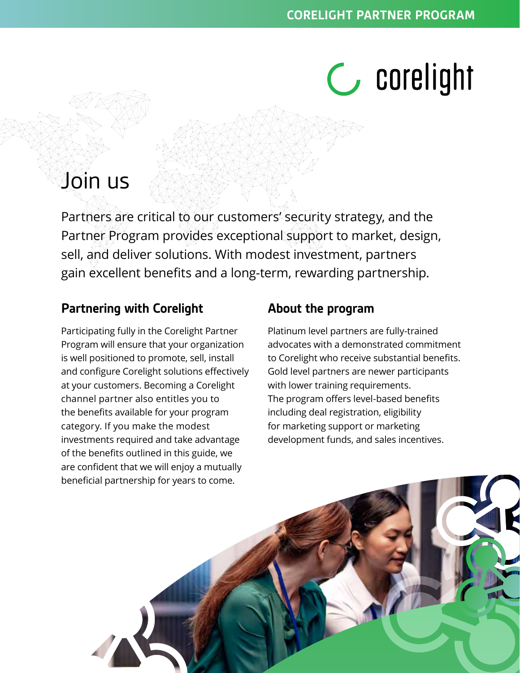# **C** corelight

# Join us

Partners are critical to our customers' security strategy, and the Partner Program provides exceptional support to market, design, sell, and deliver solutions. With modest investment, partners gain excellent benefits and a long-term, rewarding partnership.

## **Partnering with Corelight**

Participating fully in the Corelight Partner Program will ensure that your organization is well positioned to promote, sell, install and configure Corelight solutions effectively at your customers. Becoming a Corelight channel partner also entitles you to the benefits available for your program category. If you make the modest investments required and take advantage of the benefits outlined in this guide, we are confident that we will enjoy a mutually beneficial partnership for years to come.

### **About the program**

Platinum level partners are fully-trained advocates with a demonstrated commitment to Corelight who receive substantial benefits. Gold level partners are newer participants with lower training requirements. The program offers level-based benefits including deal registration, eligibility for marketing support or marketing development funds, and sales incentives.